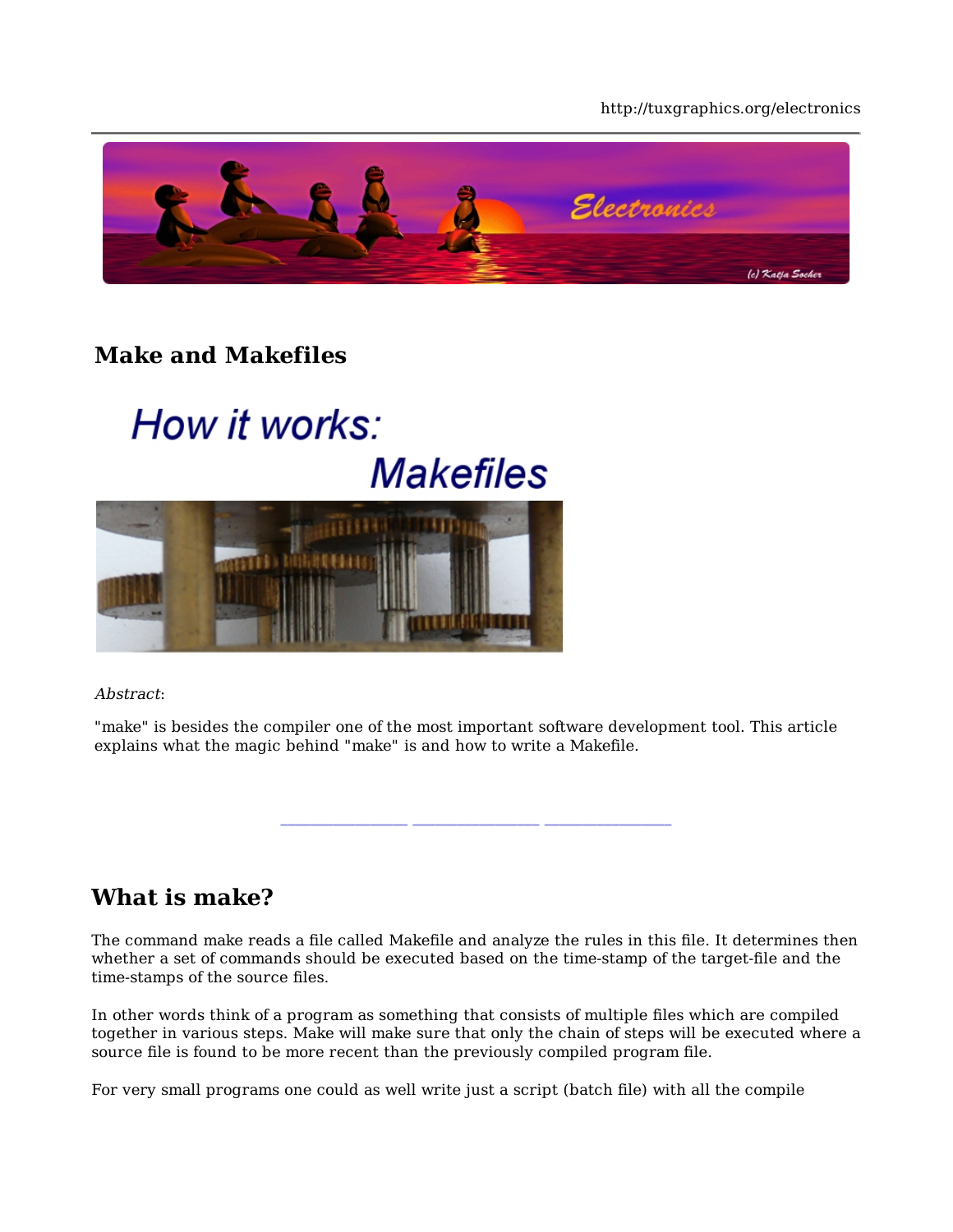#### http://tuxgraphics.org/electronics



### **Make and Makefiles**

# How it works: **Makefiles**



Abstract:

"make" is besides the compiler one of the most important software development tool. This article explains what the magic behind "make" is and how to write a Makefile.

#### **What is make?**

The command make reads a file called Makefile and analyze the rules in this file. It determines then whether a set of commands should be executed based on the time-stamp of the target-file and the time-stamps of the source files.

In other words think of a program as something that consists of multiple files which are compiled together in various steps. Make will make sure that only the chain of steps will be executed where a source file is found to be more recent than the previously compiled program file.

For very small programs one could as well write just a script (batch file) with all the compile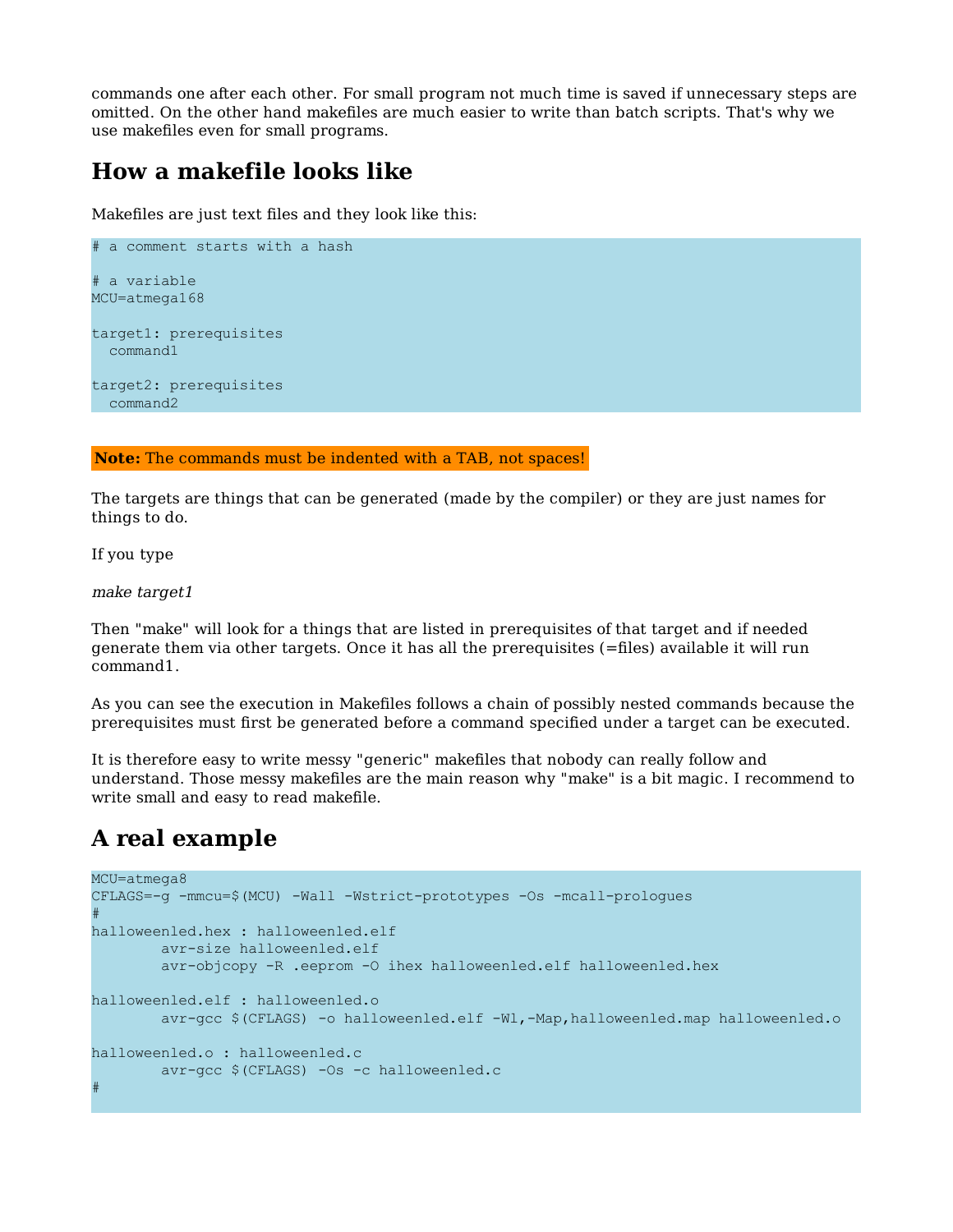commands one after each other. For small program not much time is saved if unnecessary steps are omitted. On the other hand makefiles are much easier to write than batch scripts. That's why we use makefiles even for small programs.

#### **How a makefile looks like**

Makefiles are just text files and they look like this:

```
# a comment starts with a hash
# a variable
MCU=atmega168
target1: prerequisites
  command1
target2: prerequisites
  command2
```
**Note:** The commands must be indented with a TAB, not spaces!

The targets are things that can be generated (made by the compiler) or they are just names for things to do.

If you type

make target1

Then "make" will look for a things that are listed in prerequisites of that target and if needed generate them via other targets. Once it has all the prerequisites (=files) available it will run command1.

As you can see the execution in Makefiles follows a chain of possibly nested commands because the prerequisites must first be generated before a command specified under a target can be executed.

It is therefore easy to write messy "generic" makefiles that nobody can really follow and understand. Those messy makefiles are the main reason why "make" is a bit magic. I recommend to write small and easy to read makefile.

#### **A real example**

```
MCU=atmega8
CFLAGS=-g -mmcu=$(MCU) -Wall -Wstrict-prototypes -Os -mcall-prologues
#
halloweenled.hex : halloweenled.elf
         avr-size halloweenled.elf
         avr-objcopy -R .eeprom -O ihex halloweenled.elf halloweenled.hex
halloweenled.elf : halloweenled.o
        avr-gcc $(CFLAGS) -o halloweenled.elf -Wl,-Map,halloweenled.map halloweenled.o
halloweenled.o : halloweenled.c
        avr-gcc $(CFLAGS) -Os -c halloweenled.c
#
```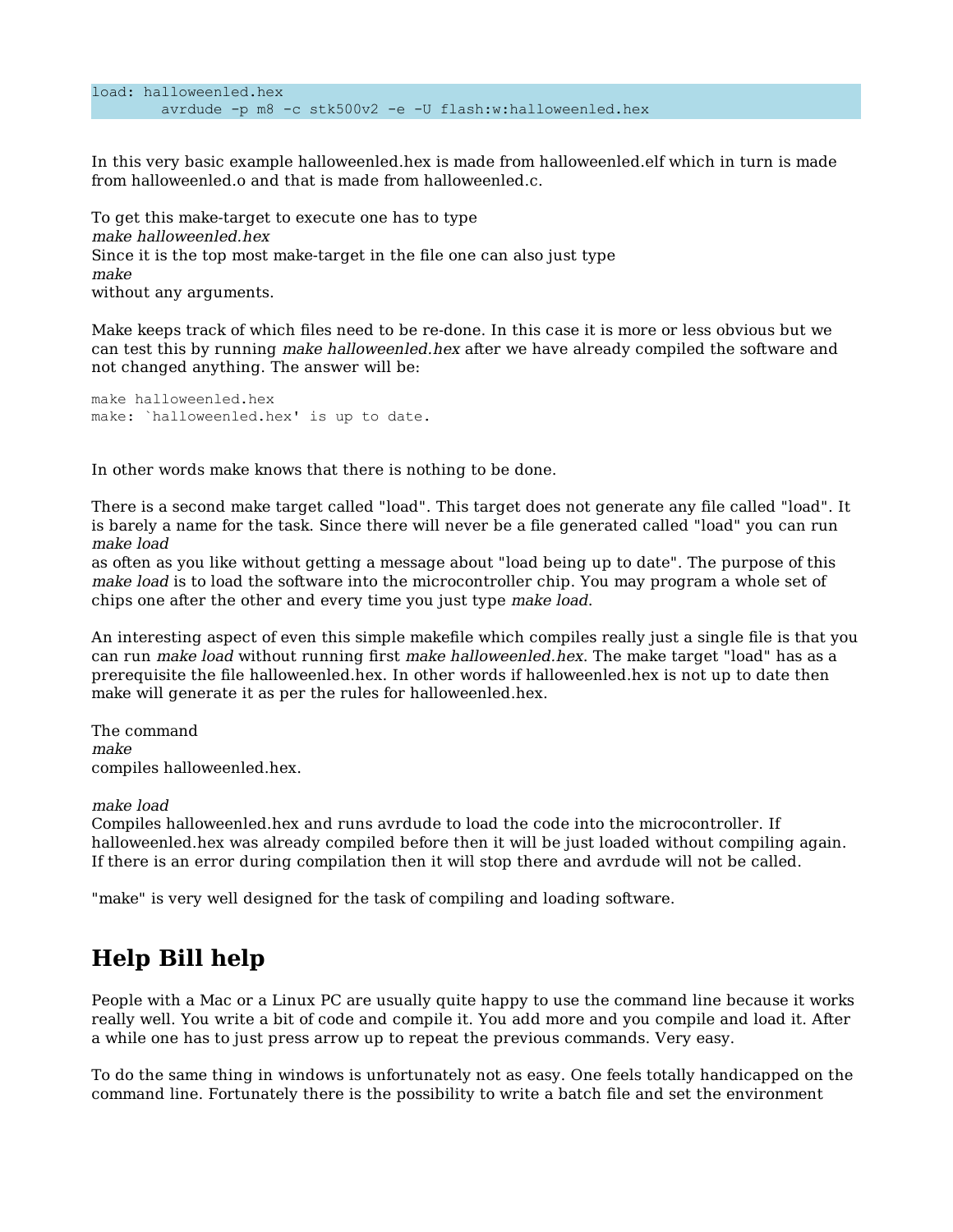```
load: halloweenled.hex
         avrdude -p m8 -c stk500v2 -e -U flash:w:halloweenled.hex
```
In this very basic example halloweenled.hex is made from halloweenled.elf which in turn is made from halloweenled.o and that is made from halloweenled.c.

To get this make-target to execute one has to type make halloweenled.hex Since it is the top most make-target in the file one can also just type make without any arguments.

Make keeps track of which files need to be re-done. In this case it is more or less obvious but we can test this by running make halloweenled.hex after we have already compiled the software and not changed anything. The answer will be:

make halloweenled.hex make: `halloweenled.hex' is up to date.

In other words make knows that there is nothing to be done.

There is a second make target called "load". This target does not generate any file called "load". It is barely a name for the task. Since there will never be a file generated called "load" you can run make load

as often as you like without getting a message about "load being up to date". The purpose of this make load is to load the software into the microcontroller chip. You may program a whole set of chips one after the other and every time you just type make load.

An interesting aspect of even this simple makefile which compiles really just a single file is that you can run *make load* without running first *make halloweenled.hex*. The make target "load" has as a prerequisite the file halloweenled.hex. In other words if halloweenled.hex is not up to date then make will generate it as per the rules for halloweenled.hex.

The command make compiles halloweenled.hex.

make load

Compiles halloweenled.hex and runs avrdude to load the code into the microcontroller. If halloweenled.hex was already compiled before then it will be just loaded without compiling again. If there is an error during compilation then it will stop there and avrdude will not be called.

"make" is very well designed for the task of compiling and loading software.

## **Help Bill help**

People with a Mac or a Linux PC are usually quite happy to use the command line because it works really well. You write a bit of code and compile it. You add more and you compile and load it. After a while one has to just press arrow up to repeat the previous commands. Very easy.

To do the same thing in windows is unfortunately not as easy. One feels totally handicapped on the command line. Fortunately there is the possibility to write a batch file and set the environment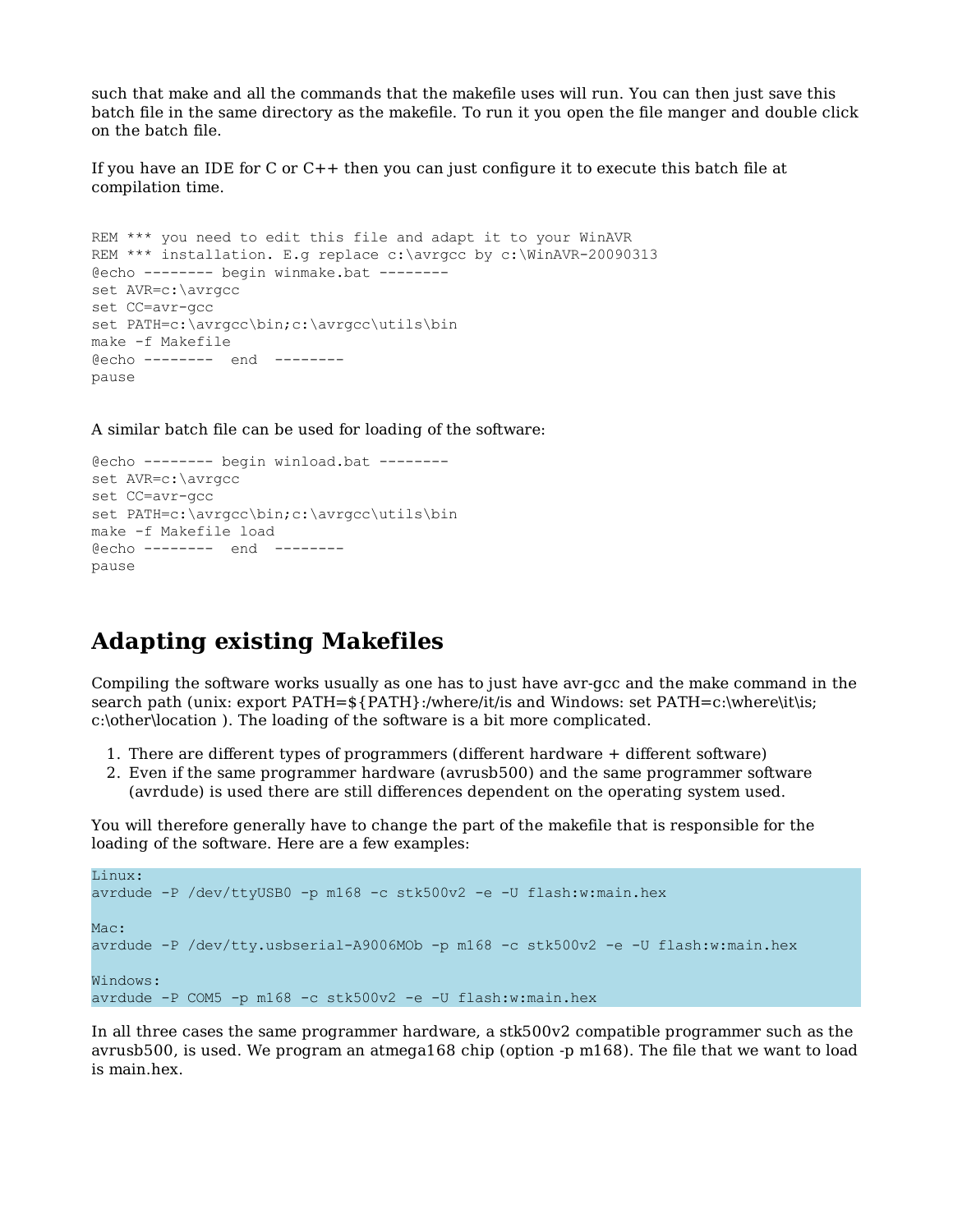such that make and all the commands that the makefile uses will run. You can then just save this batch file in the same directory as the makefile. To run it you open the file manger and double click on the batch file.

If you have an IDE for C or C++ then you can just configure it to execute this batch file at compilation time.

```
REM *** you need to edit this file and adapt it to your WinAVR
REM *** installation. E.g replace c:\avrgcc by c:\WinAVR-20090313
@echo -------- begin winmake.bat --------
set AVR=c:\avrgcc
set CC=avr-gcc
set PATH=c:\avrgcc\bin;c:\avrgcc\utils\bin
make -f Makefile
@echo -------- end --------
pause
```
A similar batch file can be used for loading of the software:

```
@echo -------- begin winload.bat --------
set AVR=c:\avrgcc
set CC=avr-gcc
set PATH=c:\avrgcc\bin;c:\avrgcc\utils\bin
make -f Makefile load
@echo -------- end --------
pause
```
#### **Adapting existing Makefiles**

Compiling the software works usually as one has to just have avr-gcc and the make command in the search path (unix: export PATH=\${PATH}:/where/it/is and Windows: set PATH=c:\where\it\is; c:\other\location ). The loading of the software is a bit more complicated.

- 1. There are different types of programmers (different hardware + different software)
- Even if the same programmer hardware (avrusb500) and the same programmer software 2. (avrdude) is used there are still differences dependent on the operating system used.

You will therefore generally have to change the part of the makefile that is responsible for the loading of the software. Here are a few examples:

```
Linux:
avrdude -P /dev/ttyUSB0 -p m168 -c stk500v2 -e -U flash:w:main.hex
Mac:
avrdude -P /dev/tty.usbserial-A9006MOb -p m168 -c stk500v2 -e -U flash:w:main.hex
Windows:
avrdude -P COM5 -p m168 -c stk500v2 -e -U flash:w:main.hex
```
In all three cases the same programmer hardware, a stk500v2 compatible programmer such as the avrusb500, is used. We program an atmega168 chip (option -p m168). The file that we want to load is main.hex.